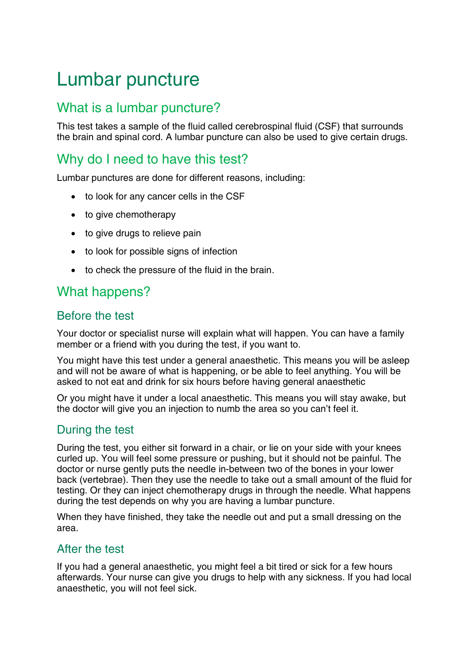# Lumbar puncture

## What is a lumbar puncture?

This test takes a sample of the fluid called cerebrospinal fluid (CSF) that surrounds the brain and spinal cord. A lumbar puncture can also be used to give certain drugs.

## Why do I need to have this test?

Lumbar punctures are done for different reasons, including:

- to look for any cancer cells in the CSF
- to give chemotherapy
- to give drugs to relieve pain
- to look for possible signs of infection
- to check the pressure of the fluid in the brain.

## What happens?

### Before the test

Your doctor or specialist nurse will explain what will happen. You can have a family member or a friend with you during the test, if you want to.

You might have this test under a general anaesthetic. This means you will be asleep and will not be aware of what is happening, or be able to feel anything. You will be asked to not eat and drink for six hours before having general anaesthetic

Or you might have it under a local anaesthetic. This means you will stay awake, but the doctor will give you an injection to numb the area so you can't feel it.

### During the test

During the test, you either sit forward in a chair, or lie on your side with your knees curled up. You will feel some pressure or pushing, but it should not be painful. The doctor or nurse gently puts the needle in-between two of the bones in your lower back (vertebrae). Then they use the needle to take out a small amount of the fluid for testing. Or they can inject chemotherapy drugs in through the needle. What happens during the test depends on why you are having a lumbar puncture.

When they have finished, they take the needle out and put a small dressing on the area.

### After the test

If you had a general anaesthetic, you might feel a bit tired or sick for a few hours afterwards. Your nurse can give you drugs to help with any sickness. If you had local anaesthetic, you will not feel sick.